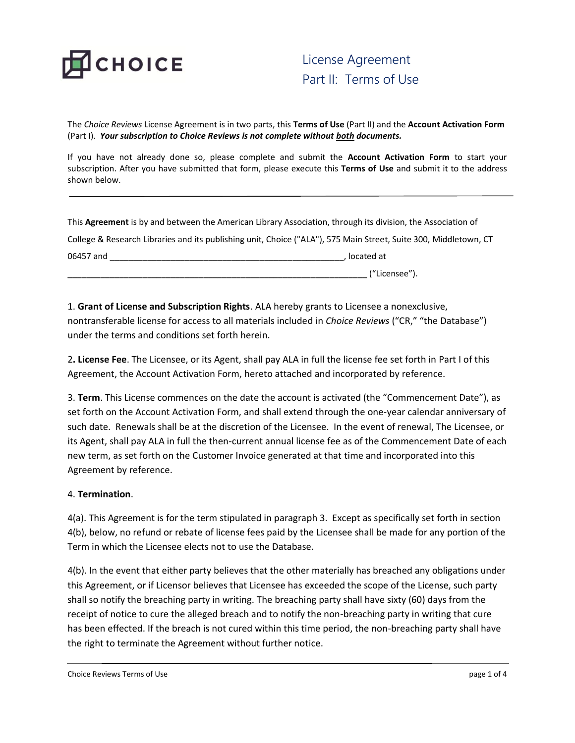

The *Choice Reviews* License Agreement is in two parts, this **Terms of Use** (Part II) and the **Account Activation Form** (Part I). *Your subscription to Choice Reviews is not complete without both documents.* 

If you have not already done so, please complete and submit the **Account Activation Form** to start your subscription. After you have submitted that form, please execute this **Terms of Use** and submit it to the address shown below.

This **Agreement** is by and between the American Library Association, through its division, the Association of College & Research Libraries and its publishing unit, Choice ("ALA"), 575 Main Street, Suite 300, Middletown, CT 06457 and \_\_\_\_\_\_\_\_\_\_\_\_\_\_\_\_\_\_\_\_\_\_\_\_\_\_\_\_\_\_\_\_\_\_\_\_\_\_\_\_\_\_\_\_\_\_\_\_\_\_, located at

 $\_$  ("Licensee").

1. **Grant of License and Subscription Rights**. ALA hereby grants to Licensee a nonexclusive, nontransferable license for access to all materials included in *Choice Reviews* ("CR," "the Database") under the terms and conditions set forth herein.

2**. License Fee**. The Licensee, or its Agent, shall pay ALA in full the license fee set forth in Part I of this Agreement, the Account Activation Form, hereto attached and incorporated by reference.

3. **Term**. This License commences on the date the account is activated (the "Commencement Date"), as set forth on the Account Activation Form, and shall extend through the one-year calendar anniversary of such date. Renewals shall be at the discretion of the Licensee. In the event of renewal, The Licensee, or its Agent, shall pay ALA in full the then-current annual license fee as of the Commencement Date of each new term, as set forth on the Customer Invoice generated at that time and incorporated into this Agreement by reference.

## 4. **Termination**.

4(a). This Agreement is for the term stipulated in paragraph 3. Except as specifically set forth in section 4(b), below, no refund or rebate of license fees paid by the Licensee shall be made for any portion of the Term in which the Licensee elects not to use the Database.

4(b). In the event that either party believes that the other materially has breached any obligations under this Agreement, or if Licensor believes that Licensee has exceeded the scope of the License, such party shall so notify the breaching party in writing. The breaching party shall have sixty (60) days from the receipt of notice to cure the alleged breach and to notify the non-breaching party in writing that cure has been effected. If the breach is not cured within this time period, the non-breaching party shall have the right to terminate the Agreement without further notice.

Choice Reviews Terms of Use extending the page 1 of 4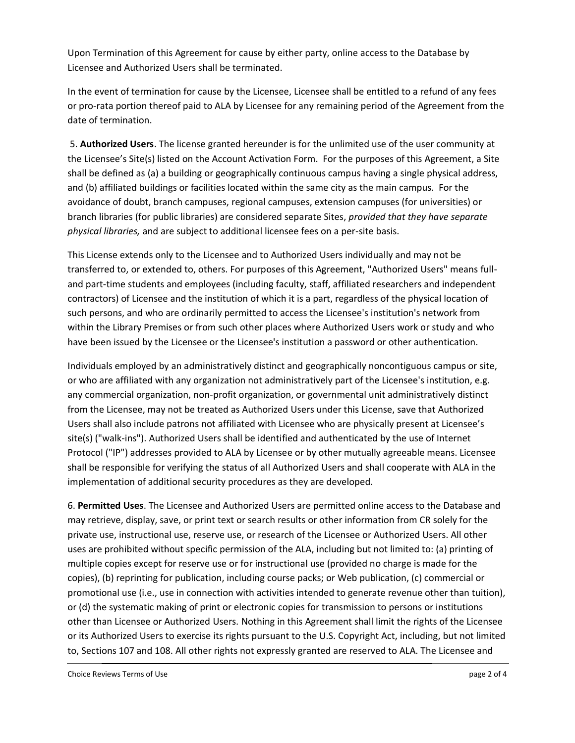Upon Termination of this Agreement for cause by either party, online access to the Database by Licensee and Authorized Users shall be terminated.

In the event of termination for cause by the Licensee, Licensee shall be entitled to a refund of any fees or pro-rata portion thereof paid to ALA by Licensee for any remaining period of the Agreement from the date of termination.

5. **Authorized Users**. The license granted hereunder is for the unlimited use of the user community at the Licensee's Site(s) listed on the Account Activation Form. For the purposes of this Agreement, a Site shall be defined as (a) a building or geographically continuous campus having a single physical address, and (b) affiliated buildings or facilities located within the same city as the main campus. For the avoidance of doubt, branch campuses, regional campuses, extension campuses (for universities) or branch libraries (for public libraries) are considered separate Sites, *provided that they have separate physical libraries,* and are subject to additional licensee fees on a per-site basis.

This License extends only to the Licensee and to Authorized Users individually and may not be transferred to, or extended to, others. For purposes of this Agreement, "Authorized Users" means fulland part-time students and employees (including faculty, staff, affiliated researchers and independent contractors) of Licensee and the institution of which it is a part, regardless of the physical location of such persons, and who are ordinarily permitted to access the Licensee's institution's network from within the Library Premises or from such other places where Authorized Users work or study and who have been issued by the Licensee or the Licensee's institution a password or other authentication.

Individuals employed by an administratively distinct and geographically noncontiguous campus or site, or who are affiliated with any organization not administratively part of the Licensee's institution, e.g. any commercial organization, non-profit organization, or governmental unit administratively distinct from the Licensee, may not be treated as Authorized Users under this License, save that Authorized Users shall also include patrons not affiliated with Licensee who are physically present at Licensee's site(s) ("walk-ins"). Authorized Users shall be identified and authenticated by the use of Internet Protocol ("IP") addresses provided to ALA by Licensee or by other mutually agreeable means. Licensee shall be responsible for verifying the status of all Authorized Users and shall cooperate with ALA in the implementation of additional security procedures as they are developed.

6. **Permitted Uses**. The Licensee and Authorized Users are permitted online access to the Database and may retrieve, display, save, or print text or search results or other information from CR solely for the private use, instructional use, reserve use, or research of the Licensee or Authorized Users. All other uses are prohibited without specific permission of the ALA, including but not limited to: (a) printing of multiple copies except for reserve use or for instructional use (provided no charge is made for the copies), (b) reprinting for publication, including course packs; or Web publication, (c) commercial or promotional use (i.e., use in connection with activities intended to generate revenue other than tuition), or (d) the systematic making of print or electronic copies for transmission to persons or institutions other than Licensee or Authorized Users. Nothing in this Agreement shall limit the rights of the Licensee or its Authorized Users to exercise its rights pursuant to the U.S. Copyright Act, including, but not limited to, Sections 107 and 108. All other rights not expressly granted are reserved to ALA. The Licensee and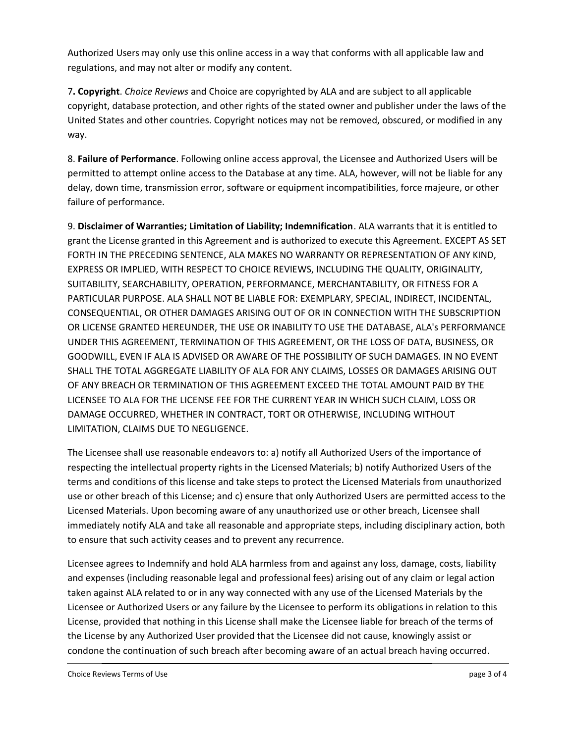Authorized Users may only use this online access in a way that conforms with all applicable law and regulations, and may not alter or modify any content.

7**. Copyright**. *Choice Reviews* and Choice are copyrighted by ALA and are subject to all applicable copyright, database protection, and other rights of the stated owner and publisher under the laws of the United States and other countries. Copyright notices may not be removed, obscured, or modified in any way.

8. **Failure of Performance**. Following online access approval, the Licensee and Authorized Users will be permitted to attempt online access to the Database at any time. ALA, however, will not be liable for any delay, down time, transmission error, software or equipment incompatibilities, force majeure, or other failure of performance.

9. **Disclaimer of Warranties; Limitation of Liability; Indemnification**. ALA warrants that it is entitled to grant the License granted in this Agreement and is authorized to execute this Agreement. EXCEPT AS SET FORTH IN THE PRECEDING SENTENCE, ALA MAKES NO WARRANTY OR REPRESENTATION OF ANY KIND, EXPRESS OR IMPLIED, WITH RESPECT TO CHOICE REVIEWS, INCLUDING THE QUALITY, ORIGINALITY, SUITABILITY, SEARCHABILITY, OPERATION, PERFORMANCE, MERCHANTABILITY, OR FITNESS FOR A PARTICULAR PURPOSE. ALA SHALL NOT BE LIABLE FOR: EXEMPLARY, SPECIAL, INDIRECT, INCIDENTAL, CONSEQUENTIAL, OR OTHER DAMAGES ARISING OUT OF OR IN CONNECTION WITH THE SUBSCRIPTION OR LICENSE GRANTED HEREUNDER, THE USE OR INABILITY TO USE THE DATABASE, ALA's PERFORMANCE UNDER THIS AGREEMENT, TERMINATION OF THIS AGREEMENT, OR THE LOSS OF DATA, BUSINESS, OR GOODWILL, EVEN IF ALA IS ADVISED OR AWARE OF THE POSSIBILITY OF SUCH DAMAGES. IN NO EVENT SHALL THE TOTAL AGGREGATE LIABILITY OF ALA FOR ANY CLAIMS, LOSSES OR DAMAGES ARISING OUT OF ANY BREACH OR TERMINATION OF THIS AGREEMENT EXCEED THE TOTAL AMOUNT PAID BY THE LICENSEE TO ALA FOR THE LICENSE FEE FOR THE CURRENT YEAR IN WHICH SUCH CLAIM, LOSS OR DAMAGE OCCURRED, WHETHER IN CONTRACT, TORT OR OTHERWISE, INCLUDING WITHOUT LIMITATION, CLAIMS DUE TO NEGLIGENCE.

The Licensee shall use reasonable endeavors to: a) notify all Authorized Users of the importance of respecting the intellectual property rights in the Licensed Materials; b) notify Authorized Users of the terms and conditions of this license and take steps to protect the Licensed Materials from unauthorized use or other breach of this License; and c) ensure that only Authorized Users are permitted access to the Licensed Materials. Upon becoming aware of any unauthorized use or other breach, Licensee shall immediately notify ALA and take all reasonable and appropriate steps, including disciplinary action, both to ensure that such activity ceases and to prevent any recurrence.

Licensee agrees to Indemnify and hold ALA harmless from and against any loss, damage, costs, liability and expenses (including reasonable legal and professional fees) arising out of any claim or legal action taken against ALA related to or in any way connected with any use of the Licensed Materials by the Licensee or Authorized Users or any failure by the Licensee to perform its obligations in relation to this License, provided that nothing in this License shall make the Licensee liable for breach of the terms of the License by any Authorized User provided that the Licensee did not cause, knowingly assist or condone the continuation of such breach after becoming aware of an actual breach having occurred.